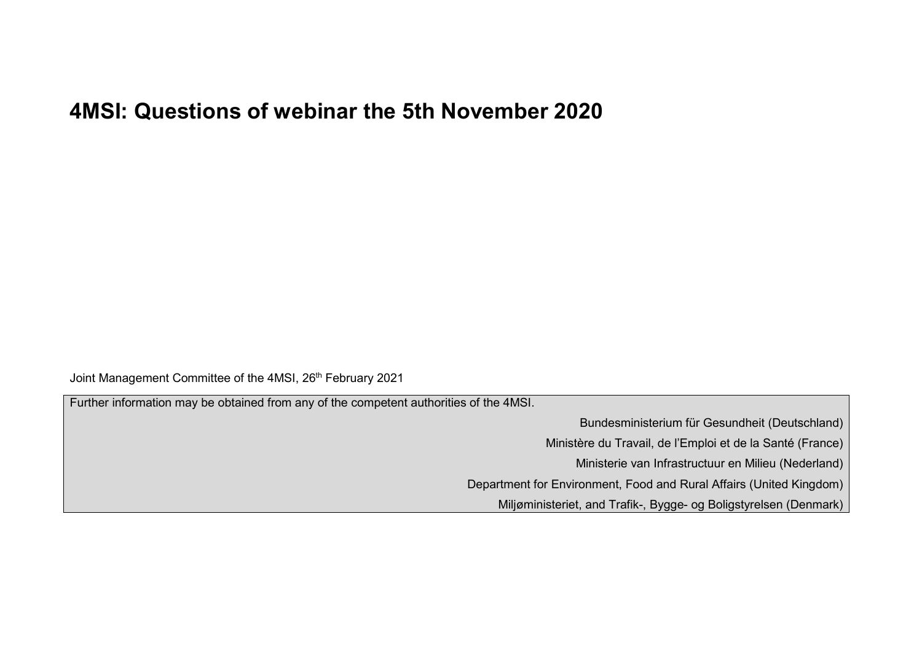## **4MSI: Questions of webinar the 5th November 2020**

Joint Management Committee of the 4MSI, 26<sup>th</sup> February 2021

Further information may be obtained from any of the competent authorities of the 4MSI.

Bundesministerium für Gesundheit (Deutschland)

Ministère du Travail, de l'Emploi et de la Santé (France)

Ministerie van Infrastructuur en Milieu (Nederland)

Department for Environment, Food and Rural Affairs (United Kingdom)

Miljøministeriet, and Trafik-, Bygge- og Boligstyrelsen (Denmark)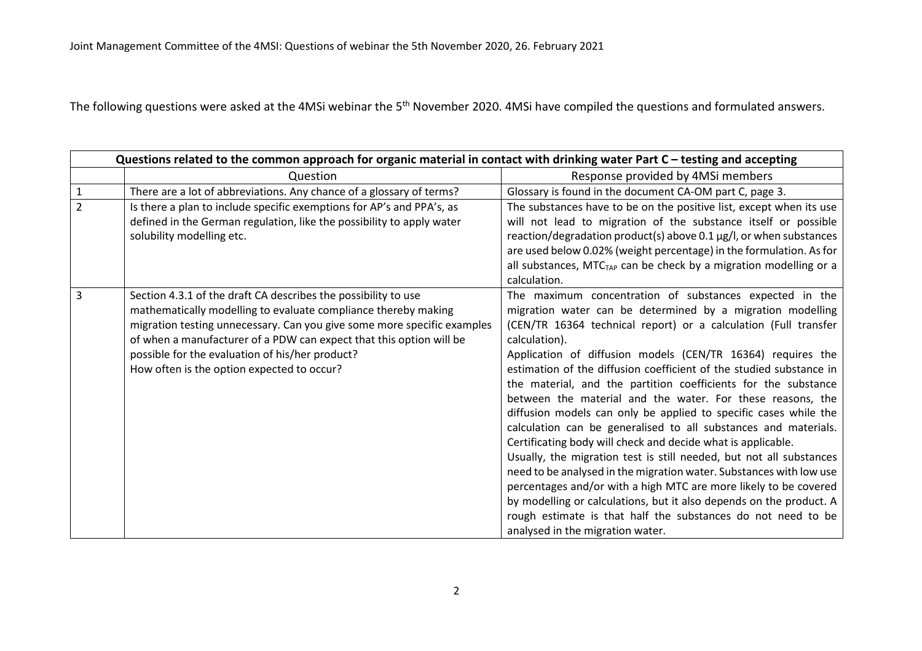The following questions were asked at the 4MSi webinar the 5<sup>th</sup> November 2020. 4MSi have compiled the questions and formulated answers.

|                | Questions related to the common approach for organic material in contact with drinking water Part C – testing and accepting                                                                                                                                                                                                                                                         |                                                                                                                                                                                                                                                                                                                                                                                                                                                                                                                                                                                                                                                                                                                                                                                                                                                                                                                                                                                                                                                                                     |
|----------------|-------------------------------------------------------------------------------------------------------------------------------------------------------------------------------------------------------------------------------------------------------------------------------------------------------------------------------------------------------------------------------------|-------------------------------------------------------------------------------------------------------------------------------------------------------------------------------------------------------------------------------------------------------------------------------------------------------------------------------------------------------------------------------------------------------------------------------------------------------------------------------------------------------------------------------------------------------------------------------------------------------------------------------------------------------------------------------------------------------------------------------------------------------------------------------------------------------------------------------------------------------------------------------------------------------------------------------------------------------------------------------------------------------------------------------------------------------------------------------------|
|                | Question                                                                                                                                                                                                                                                                                                                                                                            | Response provided by 4MSi members                                                                                                                                                                                                                                                                                                                                                                                                                                                                                                                                                                                                                                                                                                                                                                                                                                                                                                                                                                                                                                                   |
| $\mathbf{1}$   | There are a lot of abbreviations. Any chance of a glossary of terms?                                                                                                                                                                                                                                                                                                                | Glossary is found in the document CA-OM part C, page 3.                                                                                                                                                                                                                                                                                                                                                                                                                                                                                                                                                                                                                                                                                                                                                                                                                                                                                                                                                                                                                             |
| $\overline{2}$ | Is there a plan to include specific exemptions for AP's and PPA's, as<br>defined in the German regulation, like the possibility to apply water<br>solubility modelling etc.                                                                                                                                                                                                         | The substances have to be on the positive list, except when its use<br>will not lead to migration of the substance itself or possible<br>reaction/degradation product(s) above 0.1 µg/l, or when substances<br>are used below 0.02% (weight percentage) in the formulation. As for<br>all substances, MTC <sub>TAP</sub> can be check by a migration modelling or a<br>calculation.                                                                                                                                                                                                                                                                                                                                                                                                                                                                                                                                                                                                                                                                                                 |
| 3              | Section 4.3.1 of the draft CA describes the possibility to use<br>mathematically modelling to evaluate compliance thereby making<br>migration testing unnecessary. Can you give some more specific examples<br>of when a manufacturer of a PDW can expect that this option will be<br>possible for the evaluation of his/her product?<br>How often is the option expected to occur? | The maximum concentration of substances expected in the<br>migration water can be determined by a migration modelling<br>(CEN/TR 16364 technical report) or a calculation (Full transfer<br>calculation).<br>Application of diffusion models (CEN/TR 16364) requires the<br>estimation of the diffusion coefficient of the studied substance in<br>the material, and the partition coefficients for the substance<br>between the material and the water. For these reasons, the<br>diffusion models can only be applied to specific cases while the<br>calculation can be generalised to all substances and materials.<br>Certificating body will check and decide what is applicable.<br>Usually, the migration test is still needed, but not all substances<br>need to be analysed in the migration water. Substances with low use<br>percentages and/or with a high MTC are more likely to be covered<br>by modelling or calculations, but it also depends on the product. A<br>rough estimate is that half the substances do not need to be<br>analysed in the migration water. |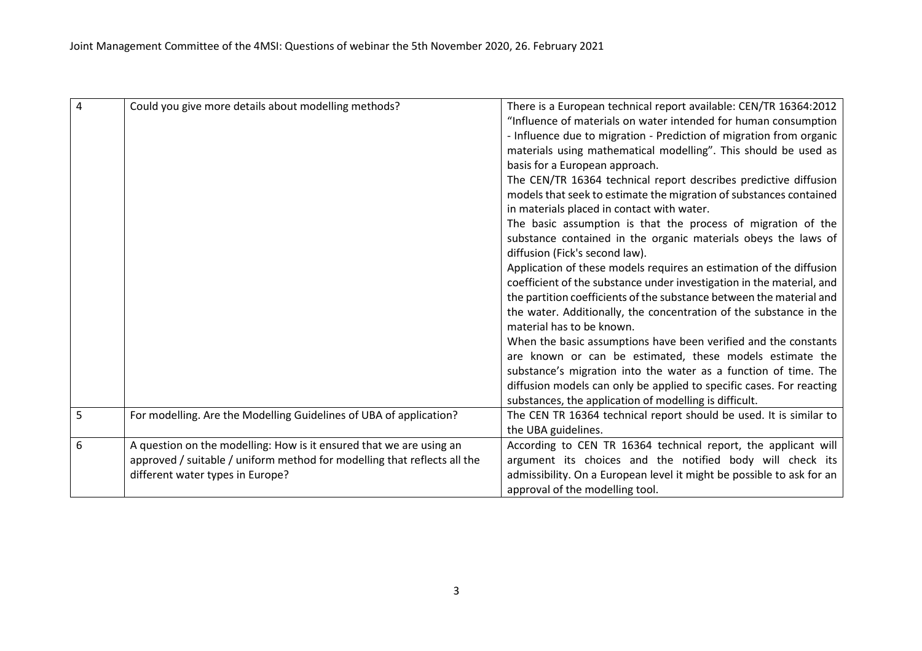| $\overline{4}$ | Could you give more details about modelling methods?                     | There is a European technical report available: CEN/TR 16364:2012                                                |
|----------------|--------------------------------------------------------------------------|------------------------------------------------------------------------------------------------------------------|
|                |                                                                          | "Influence of materials on water intended for human consumption                                                  |
|                |                                                                          | - Influence due to migration - Prediction of migration from organic                                              |
|                |                                                                          | materials using mathematical modelling". This should be used as                                                  |
|                |                                                                          | basis for a European approach.                                                                                   |
|                |                                                                          | The CEN/TR 16364 technical report describes predictive diffusion                                                 |
|                |                                                                          |                                                                                                                  |
|                |                                                                          | models that seek to estimate the migration of substances contained<br>in materials placed in contact with water. |
|                |                                                                          | The basic assumption is that the process of migration of the                                                     |
|                |                                                                          | substance contained in the organic materials obeys the laws of                                                   |
|                |                                                                          | diffusion (Fick's second law).                                                                                   |
|                |                                                                          | Application of these models requires an estimation of the diffusion                                              |
|                |                                                                          | coefficient of the substance under investigation in the material, and                                            |
|                |                                                                          | the partition coefficients of the substance between the material and                                             |
|                |                                                                          | the water. Additionally, the concentration of the substance in the                                               |
|                |                                                                          | material has to be known.                                                                                        |
|                |                                                                          | When the basic assumptions have been verified and the constants                                                  |
|                |                                                                          | are known or can be estimated, these models estimate the                                                         |
|                |                                                                          | substance's migration into the water as a function of time. The                                                  |
|                |                                                                          | diffusion models can only be applied to specific cases. For reacting                                             |
|                |                                                                          | substances, the application of modelling is difficult.                                                           |
| 5              | For modelling. Are the Modelling Guidelines of UBA of application?       | The CEN TR 16364 technical report should be used. It is similar to                                               |
|                |                                                                          | the UBA guidelines.                                                                                              |
| 6              | A question on the modelling: How is it ensured that we are using an      | According to CEN TR 16364 technical report, the applicant will                                                   |
|                | approved / suitable / uniform method for modelling that reflects all the | argument its choices and the notified body will check its                                                        |
|                | different water types in Europe?                                         | admissibility. On a European level it might be possible to ask for an                                            |
|                |                                                                          | approval of the modelling tool.                                                                                  |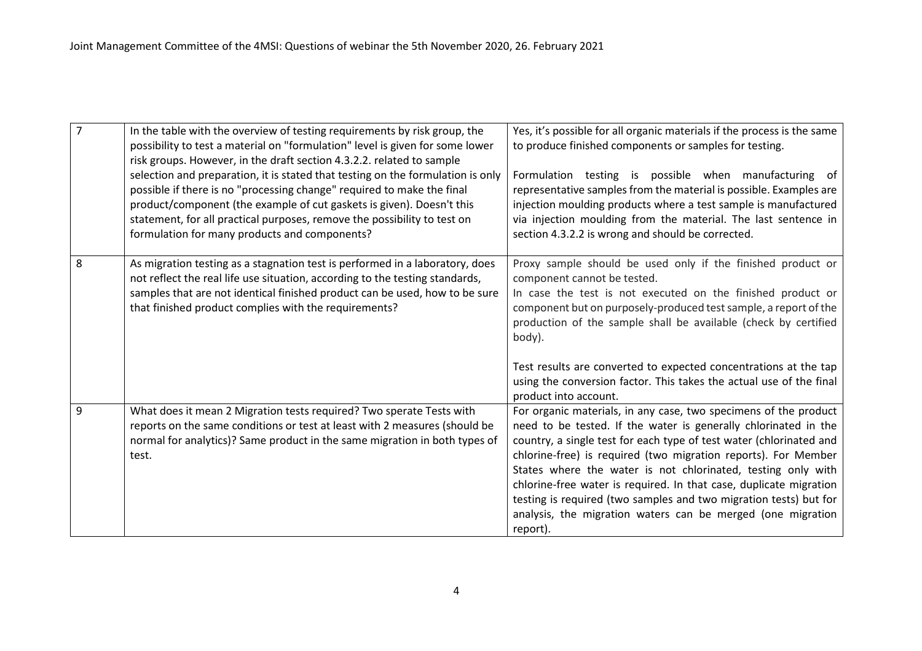| $\overline{7}$ | In the table with the overview of testing requirements by risk group, the<br>possibility to test a material on "formulation" level is given for some lower<br>risk groups. However, in the draft section 4.3.2.2. related to sample<br>selection and preparation, it is stated that testing on the formulation is only<br>possible if there is no "processing change" required to make the final<br>product/component (the example of cut gaskets is given). Doesn't this<br>statement, for all practical purposes, remove the possibility to test on<br>formulation for many products and components? | Yes, it's possible for all organic materials if the process is the same<br>to produce finished components or samples for testing.<br>Formulation testing is possible when manufacturing of<br>representative samples from the material is possible. Examples are<br>injection moulding products where a test sample is manufactured<br>via injection moulding from the material. The last sentence in<br>section 4.3.2.2 is wrong and should be corrected.                                                                                                         |
|----------------|--------------------------------------------------------------------------------------------------------------------------------------------------------------------------------------------------------------------------------------------------------------------------------------------------------------------------------------------------------------------------------------------------------------------------------------------------------------------------------------------------------------------------------------------------------------------------------------------------------|--------------------------------------------------------------------------------------------------------------------------------------------------------------------------------------------------------------------------------------------------------------------------------------------------------------------------------------------------------------------------------------------------------------------------------------------------------------------------------------------------------------------------------------------------------------------|
| 8              | As migration testing as a stagnation test is performed in a laboratory, does<br>not reflect the real life use situation, according to the testing standards,<br>samples that are not identical finished product can be used, how to be sure<br>that finished product complies with the requirements?                                                                                                                                                                                                                                                                                                   | Proxy sample should be used only if the finished product or<br>component cannot be tested.<br>In case the test is not executed on the finished product or<br>component but on purposely-produced test sample, a report of the<br>production of the sample shall be available (check by certified<br>body).<br>Test results are converted to expected concentrations at the tap<br>using the conversion factor. This takes the actual use of the final<br>product into account.                                                                                     |
| 9              | What does it mean 2 Migration tests required? Two sperate Tests with<br>reports on the same conditions or test at least with 2 measures (should be<br>normal for analytics)? Same product in the same migration in both types of<br>test.                                                                                                                                                                                                                                                                                                                                                              | For organic materials, in any case, two specimens of the product<br>need to be tested. If the water is generally chlorinated in the<br>country, a single test for each type of test water (chlorinated and<br>chlorine-free) is required (two migration reports). For Member<br>States where the water is not chlorinated, testing only with<br>chlorine-free water is required. In that case, duplicate migration<br>testing is required (two samples and two migration tests) but for<br>analysis, the migration waters can be merged (one migration<br>report). |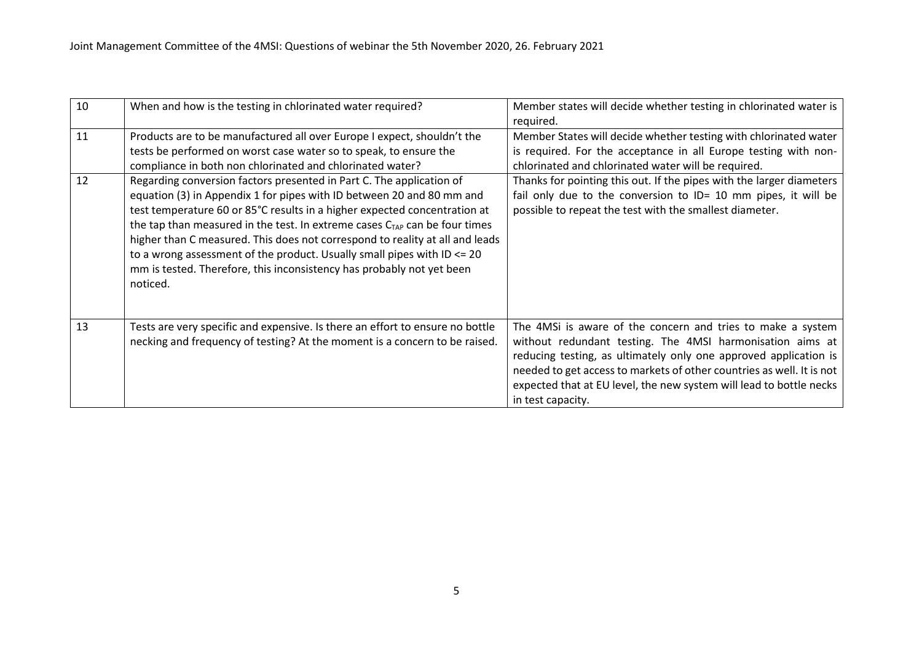| 10 | When and how is the testing in chlorinated water required?                                                                                                                                                                                                                                                                                                                                                                                                                                                                                                        | Member states will decide whether testing in chlorinated water is<br>required.                                                                                                                                                                                                                                                                                    |
|----|-------------------------------------------------------------------------------------------------------------------------------------------------------------------------------------------------------------------------------------------------------------------------------------------------------------------------------------------------------------------------------------------------------------------------------------------------------------------------------------------------------------------------------------------------------------------|-------------------------------------------------------------------------------------------------------------------------------------------------------------------------------------------------------------------------------------------------------------------------------------------------------------------------------------------------------------------|
| 11 | Products are to be manufactured all over Europe I expect, shouldn't the<br>tests be performed on worst case water so to speak, to ensure the<br>compliance in both non chlorinated and chlorinated water?                                                                                                                                                                                                                                                                                                                                                         | Member States will decide whether testing with chlorinated water<br>is required. For the acceptance in all Europe testing with non-<br>chlorinated and chlorinated water will be required.                                                                                                                                                                        |
| 12 | Regarding conversion factors presented in Part C. The application of<br>equation (3) in Appendix 1 for pipes with ID between 20 and 80 mm and<br>test temperature 60 or 85°C results in a higher expected concentration at<br>the tap than measured in the test. In extreme cases $C_{TAP}$ can be four times<br>higher than C measured. This does not correspond to reality at all and leads<br>to a wrong assessment of the product. Usually small pipes with ID $\leq$ 20<br>mm is tested. Therefore, this inconsistency has probably not yet been<br>noticed. | Thanks for pointing this out. If the pipes with the larger diameters<br>fail only due to the conversion to ID= 10 mm pipes, it will be<br>possible to repeat the test with the smallest diameter.                                                                                                                                                                 |
| 13 | Tests are very specific and expensive. Is there an effort to ensure no bottle<br>necking and frequency of testing? At the moment is a concern to be raised.                                                                                                                                                                                                                                                                                                                                                                                                       | The 4MSi is aware of the concern and tries to make a system<br>without redundant testing. The 4MSI harmonisation aims at<br>reducing testing, as ultimately only one approved application is<br>needed to get access to markets of other countries as well. It is not<br>expected that at EU level, the new system will lead to bottle necks<br>in test capacity. |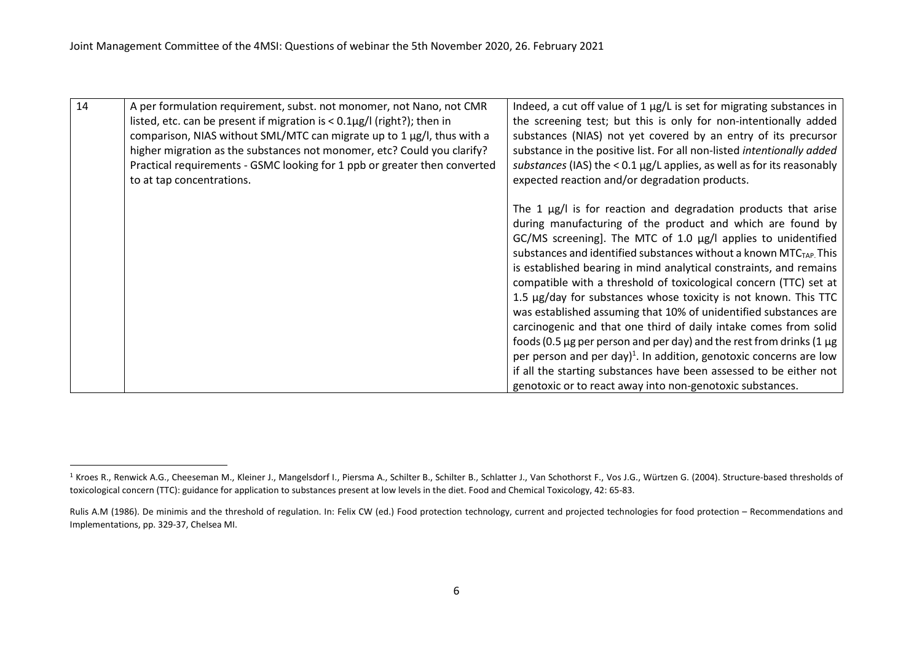| 14 | A per formulation requirement, subst. not monomer, not Nano, not CMR            | Indeed, a cut off value of 1 µg/L is set for migrating substances in           |
|----|---------------------------------------------------------------------------------|--------------------------------------------------------------------------------|
|    | listed, etc. can be present if migration is $< 0.1 \mu g / I$ (right?); then in | the screening test; but this is only for non-intentionally added               |
|    | comparison, NIAS without SML/MTC can migrate up to 1 µg/l, thus with a          | substances (NIAS) not yet covered by an entry of its precursor                 |
|    | higher migration as the substances not monomer, etc? Could you clarify?         | substance in the positive list. For all non-listed intentionally added         |
|    | Practical requirements - GSMC looking for 1 ppb or greater then converted       | substances (IAS) the < $0.1 \mu g/L$ applies, as well as for its reasonably    |
|    | to at tap concentrations.                                                       | expected reaction and/or degradation products.                                 |
|    |                                                                                 |                                                                                |
|    |                                                                                 | The 1 $\mu$ g/l is for reaction and degradation products that arise            |
|    |                                                                                 | during manufacturing of the product and which are found by                     |
|    |                                                                                 | GC/MS screening]. The MTC of 1.0 µg/l applies to unidentified                  |
|    |                                                                                 | substances and identified substances without a known MTC <sub>TAP.</sub> This  |
|    |                                                                                 | is established bearing in mind analytical constraints, and remains             |
|    |                                                                                 | compatible with a threshold of toxicological concern (TTC) set at              |
|    |                                                                                 | 1.5 µg/day for substances whose toxicity is not known. This TTC                |
|    |                                                                                 | was established assuming that 10% of unidentified substances are               |
|    |                                                                                 | carcinogenic and that one third of daily intake comes from solid               |
|    |                                                                                 | foods (0.5 $\mu$ g per person and per day) and the rest from drinks (1 $\mu$ g |
|    |                                                                                 | per person and per day) <sup>1</sup> . In addition, genotoxic concerns are low |
|    |                                                                                 | if all the starting substances have been assessed to be either not             |
|    |                                                                                 | genotoxic or to react away into non-genotoxic substances.                      |

<sup>&</sup>lt;sup>1</sup> Kroes R., Renwick A.G., Cheeseman M., Kleiner J., Mangelsdorf I., Piersma A., Schilter B., Schilter B., Schlatter J., Van Schothorst F., Vos J.G., Würtzen G. (2004). Structure-based thresholds of toxicological concern (TTC): guidance for application to substances present at low levels in the diet. Food and Chemical Toxicology, 42: 65-83.

Rulis A.M (1986). De minimis and the threshold of regulation. In: Felix CW (ed.) Food protection technology, current and projected technologies for food protection – Recommendations and Implementations, pp. 329-37, Chelsea MI.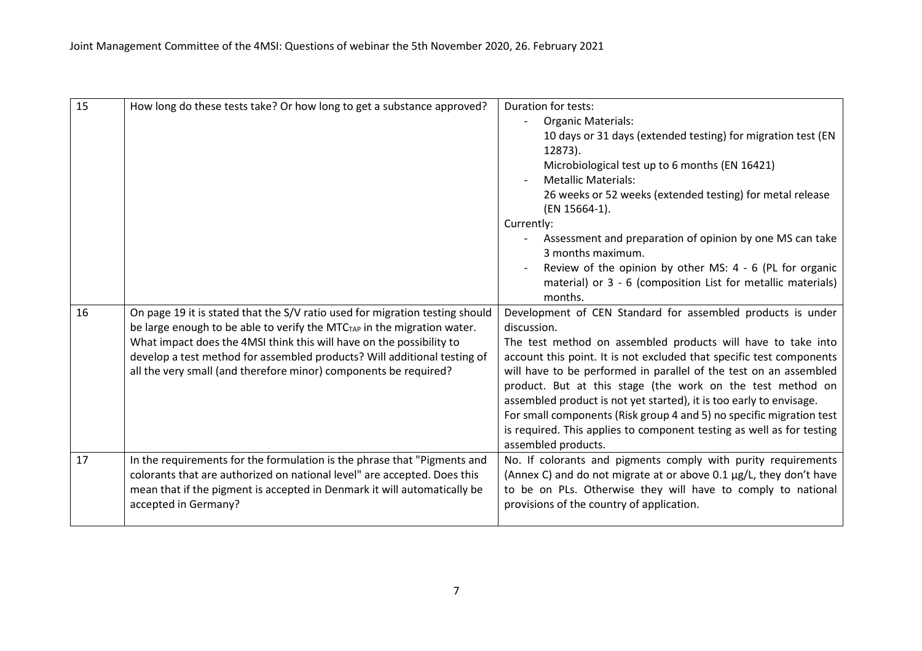| 15 | How long do these tests take? Or how long to get a substance approved?              | <b>Duration for tests:</b>                                                                                               |
|----|-------------------------------------------------------------------------------------|--------------------------------------------------------------------------------------------------------------------------|
|    |                                                                                     | <b>Organic Materials:</b>                                                                                                |
|    |                                                                                     | 10 days or 31 days (extended testing) for migration test (EN                                                             |
|    |                                                                                     | 12873).                                                                                                                  |
|    |                                                                                     | Microbiological test up to 6 months (EN 16421)                                                                           |
|    |                                                                                     | <b>Metallic Materials:</b>                                                                                               |
|    |                                                                                     | 26 weeks or 52 weeks (extended testing) for metal release<br>(EN 15664-1).                                               |
|    |                                                                                     | Currently:                                                                                                               |
|    |                                                                                     | Assessment and preparation of opinion by one MS can take<br>3 months maximum.                                            |
|    |                                                                                     | Review of the opinion by other MS: 4 - 6 (PL for organic<br>material) or 3 - 6 (composition List for metallic materials) |
|    |                                                                                     | months.                                                                                                                  |
| 16 | On page 19 it is stated that the S/V ratio used for migration testing should        | Development of CEN Standard for assembled products is under                                                              |
|    | be large enough to be able to verify the MTC <sub>TAP</sub> in the migration water. | discussion.                                                                                                              |
|    | What impact does the 4MSI think this will have on the possibility to                | The test method on assembled products will have to take into                                                             |
|    | develop a test method for assembled products? Will additional testing of            | account this point. It is not excluded that specific test components                                                     |
|    | all the very small (and therefore minor) components be required?                    | will have to be performed in parallel of the test on an assembled                                                        |
|    |                                                                                     | product. But at this stage (the work on the test method on                                                               |
|    |                                                                                     | assembled product is not yet started), it is too early to envisage.                                                      |
|    |                                                                                     | For small components (Risk group 4 and 5) no specific migration test                                                     |
|    |                                                                                     | is required. This applies to component testing as well as for testing<br>assembled products.                             |
| 17 | In the requirements for the formulation is the phrase that "Pigments and            | No. If colorants and pigments comply with purity requirements                                                            |
|    | colorants that are authorized on national level" are accepted. Does this            | (Annex C) and do not migrate at or above 0.1 µg/L, they don't have                                                       |
|    | mean that if the pigment is accepted in Denmark it will automatically be            | to be on PLs. Otherwise they will have to comply to national                                                             |
|    | accepted in Germany?                                                                | provisions of the country of application.                                                                                |
|    |                                                                                     |                                                                                                                          |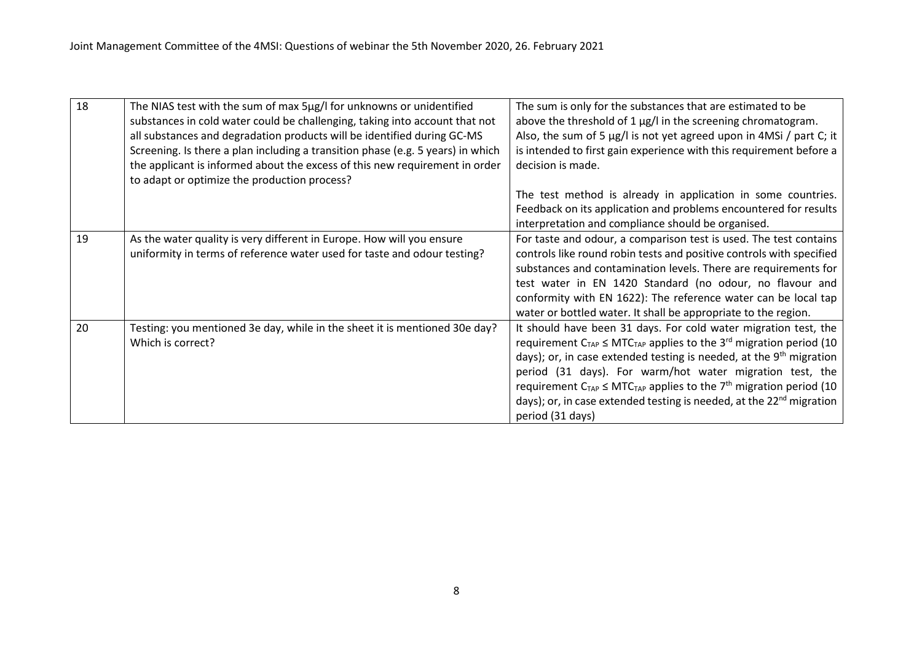| 18 | The NIAS test with the sum of max 5µg/I for unknowns or unidentified            | The sum is only for the substances that are estimated to be                              |
|----|---------------------------------------------------------------------------------|------------------------------------------------------------------------------------------|
|    | substances in cold water could be challenging, taking into account that not     | above the threshold of 1 µg/l in the screening chromatogram.                             |
|    | all substances and degradation products will be identified during GC-MS         | Also, the sum of 5 µg/l is not yet agreed upon in 4MSi / part C; it                      |
|    | Screening. Is there a plan including a transition phase (e.g. 5 years) in which | is intended to first gain experience with this requirement before a                      |
|    | the applicant is informed about the excess of this new requirement in order     | decision is made.                                                                        |
|    | to adapt or optimize the production process?                                    |                                                                                          |
|    |                                                                                 | The test method is already in application in some countries.                             |
|    |                                                                                 | Feedback on its application and problems encountered for results                         |
|    |                                                                                 | interpretation and compliance should be organised.                                       |
| 19 | As the water quality is very different in Europe. How will you ensure           | For taste and odour, a comparison test is used. The test contains                        |
|    | uniformity in terms of reference water used for taste and odour testing?        | controls like round robin tests and positive controls with specified                     |
|    |                                                                                 | substances and contamination levels. There are requirements for                          |
|    |                                                                                 | test water in EN 1420 Standard (no odour, no flavour and                                 |
|    |                                                                                 | conformity with EN 1622): The reference water can be local tap                           |
|    |                                                                                 | water or bottled water. It shall be appropriate to the region.                           |
| 20 | Testing: you mentioned 3e day, while in the sheet it is mentioned 30e day?      | It should have been 31 days. For cold water migration test, the                          |
|    | Which is correct?                                                               | requirement $C_{TAP} \leq MTC_{TAP}$ applies to the 3 <sup>rd</sup> migration period (10 |
|    |                                                                                 | days); or, in case extended testing is needed, at the 9 <sup>th</sup> migration          |
|    |                                                                                 | period (31 days). For warm/hot water migration test, the                                 |
|    |                                                                                 | requirement $C_{TAP} \leq MTC_{TAP}$ applies to the 7 <sup>th</sup> migration period (10 |
|    |                                                                                 | days); or, in case extended testing is needed, at the 22 <sup>nd</sup> migration         |
|    |                                                                                 | period (31 days)                                                                         |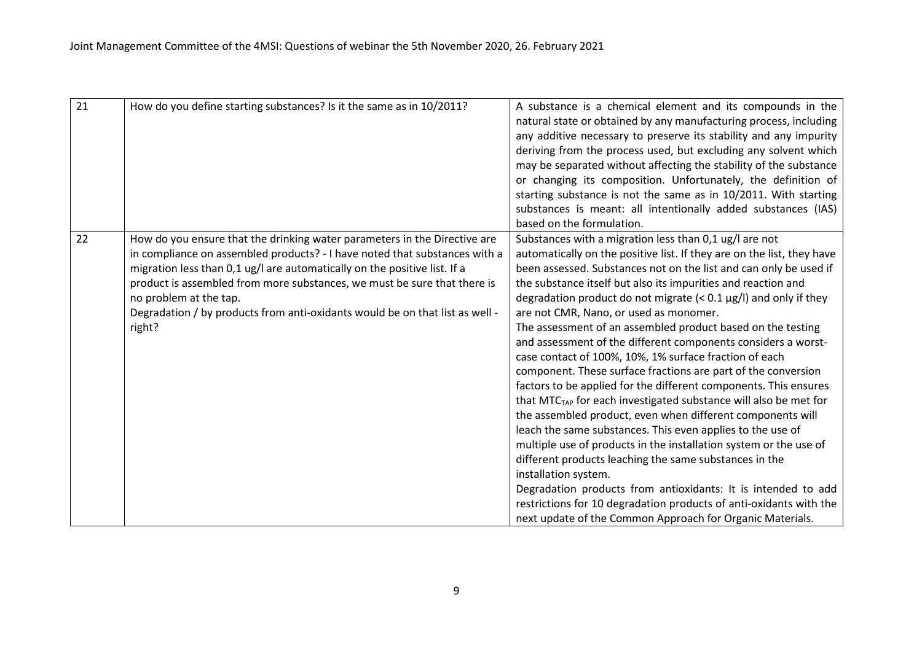| 21 | How do you define starting substances? Is it the same as in 10/2011?                                                                                                                                                                                                                                                                                                                                                                 | A substance is a chemical element and its compounds in the<br>natural state or obtained by any manufacturing process, including<br>any additive necessary to preserve its stability and any impurity<br>deriving from the process used, but excluding any solvent which<br>may be separated without affecting the stability of the substance<br>or changing its composition. Unfortunately, the definition of<br>starting substance is not the same as in 10/2011. With starting<br>substances is meant: all intentionally added substances (IAS)<br>based on the formulation.                                                                                                                                                                                                                                                                                                                                                                                                                                                                                                                                                                                                                                                                                                                     |
|----|--------------------------------------------------------------------------------------------------------------------------------------------------------------------------------------------------------------------------------------------------------------------------------------------------------------------------------------------------------------------------------------------------------------------------------------|----------------------------------------------------------------------------------------------------------------------------------------------------------------------------------------------------------------------------------------------------------------------------------------------------------------------------------------------------------------------------------------------------------------------------------------------------------------------------------------------------------------------------------------------------------------------------------------------------------------------------------------------------------------------------------------------------------------------------------------------------------------------------------------------------------------------------------------------------------------------------------------------------------------------------------------------------------------------------------------------------------------------------------------------------------------------------------------------------------------------------------------------------------------------------------------------------------------------------------------------------------------------------------------------------|
| 22 | How do you ensure that the drinking water parameters in the Directive are<br>in compliance on assembled products? - I have noted that substances with a<br>migration less than 0,1 ug/l are automatically on the positive list. If a<br>product is assembled from more substances, we must be sure that there is<br>no problem at the tap.<br>Degradation / by products from anti-oxidants would be on that list as well -<br>right? | Substances with a migration less than 0,1 ug/l are not<br>automatically on the positive list. If they are on the list, they have<br>been assessed. Substances not on the list and can only be used if<br>the substance itself but also its impurities and reaction and<br>degradation product do not migrate $(< 0.1 \,\mu g/l$ ) and only if they<br>are not CMR, Nano, or used as monomer.<br>The assessment of an assembled product based on the testing<br>and assessment of the different components considers a worst-<br>case contact of 100%, 10%, 1% surface fraction of each<br>component. These surface fractions are part of the conversion<br>factors to be applied for the different components. This ensures<br>that MTC <sub>TAP</sub> for each investigated substance will also be met for<br>the assembled product, even when different components will<br>leach the same substances. This even applies to the use of<br>multiple use of products in the installation system or the use of<br>different products leaching the same substances in the<br>installation system.<br>Degradation products from antioxidants: It is intended to add<br>restrictions for 10 degradation products of anti-oxidants with the<br>next update of the Common Approach for Organic Materials. |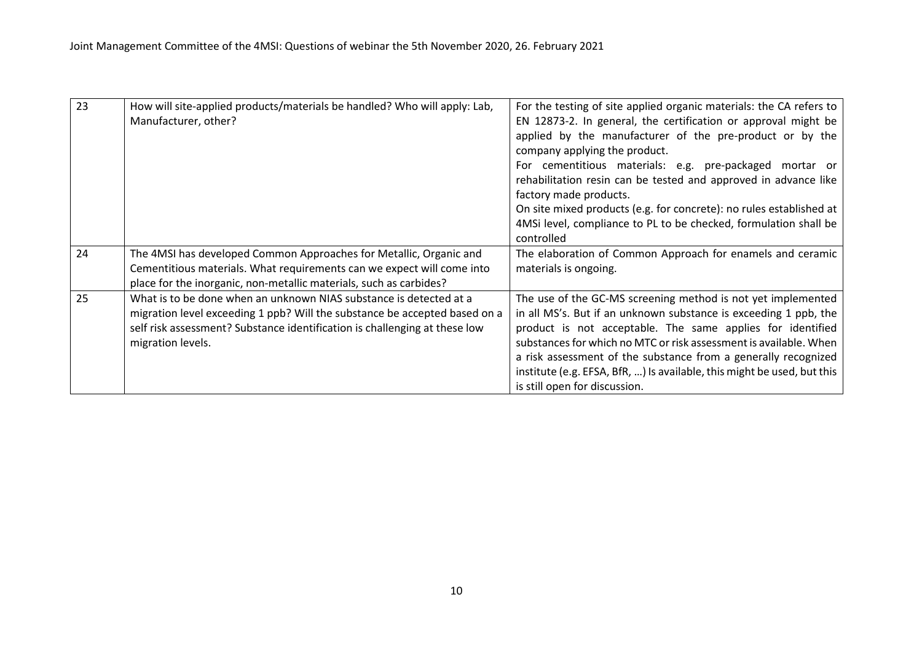| 23 | How will site-applied products/materials be handled? Who will apply: Lab,  | For the testing of site applied organic materials: the CA refers to     |
|----|----------------------------------------------------------------------------|-------------------------------------------------------------------------|
|    | Manufacturer, other?                                                       | EN 12873-2. In general, the certification or approval might be          |
|    |                                                                            | applied by the manufacturer of the pre-product or by the                |
|    |                                                                            | company applying the product.                                           |
|    |                                                                            | For cementitious materials: e.g. pre-packaged mortar or                 |
|    |                                                                            | rehabilitation resin can be tested and approved in advance like         |
|    |                                                                            | factory made products.                                                  |
|    |                                                                            | On site mixed products (e.g. for concrete): no rules established at     |
|    |                                                                            | 4MSi level, compliance to PL to be checked, formulation shall be        |
|    |                                                                            | controlled                                                              |
| 24 | The 4MSI has developed Common Approaches for Metallic, Organic and         | The elaboration of Common Approach for enamels and ceramic              |
|    | Cementitious materials. What requirements can we expect will come into     | materials is ongoing.                                                   |
|    | place for the inorganic, non-metallic materials, such as carbides?         |                                                                         |
| 25 | What is to be done when an unknown NIAS substance is detected at a         | The use of the GC-MS screening method is not yet implemented            |
|    | migration level exceeding 1 ppb? Will the substance be accepted based on a | in all MS's. But if an unknown substance is exceeding 1 ppb, the        |
|    | self risk assessment? Substance identification is challenging at these low | product is not acceptable. The same applies for identified              |
|    | migration levels.                                                          | substances for which no MTC or risk assessment is available. When       |
|    |                                                                            | a risk assessment of the substance from a generally recognized          |
|    |                                                                            | institute (e.g. EFSA, BfR, ) Is available, this might be used, but this |
|    |                                                                            | is still open for discussion.                                           |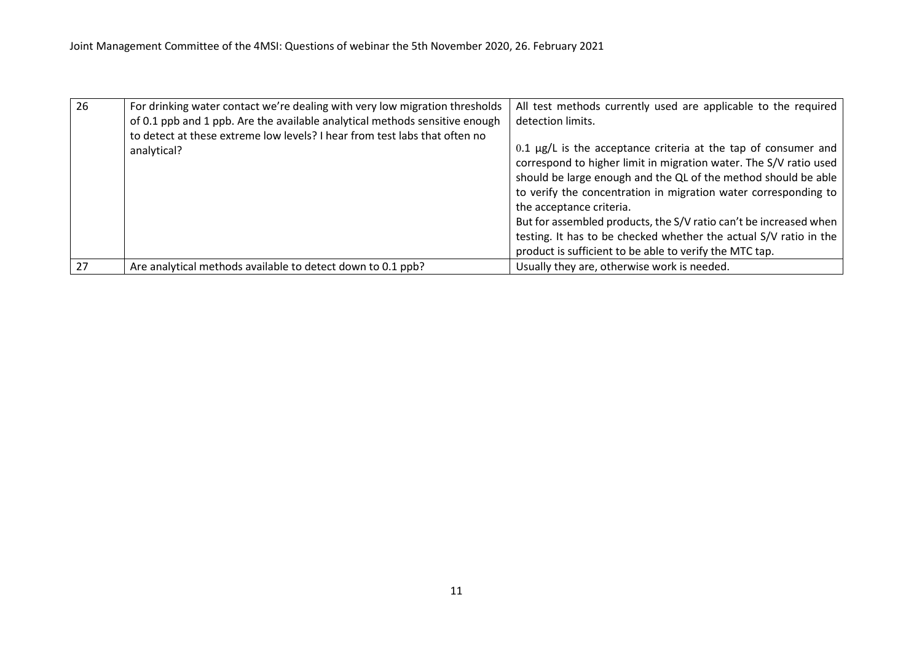| 26 | For drinking water contact we're dealing with very low migration thresholds | All test methods currently used are applicable to the required    |
|----|-----------------------------------------------------------------------------|-------------------------------------------------------------------|
|    | of 0.1 ppb and 1 ppb. Are the available analytical methods sensitive enough | detection limits.                                                 |
|    | to detect at these extreme low levels? I hear from test labs that often no  |                                                                   |
|    | analytical?                                                                 | $0.1$ µg/L is the acceptance criteria at the tap of consumer and  |
|    |                                                                             | correspond to higher limit in migration water. The S/V ratio used |
|    |                                                                             | should be large enough and the QL of the method should be able    |
|    |                                                                             | to verify the concentration in migration water corresponding to   |
|    |                                                                             | the acceptance criteria.                                          |
|    |                                                                             | But for assembled products, the S/V ratio can't be increased when |
|    |                                                                             | testing. It has to be checked whether the actual S/V ratio in the |
|    |                                                                             | product is sufficient to be able to verify the MTC tap.           |
| 27 | Are analytical methods available to detect down to 0.1 ppb?                 | Usually they are, otherwise work is needed.                       |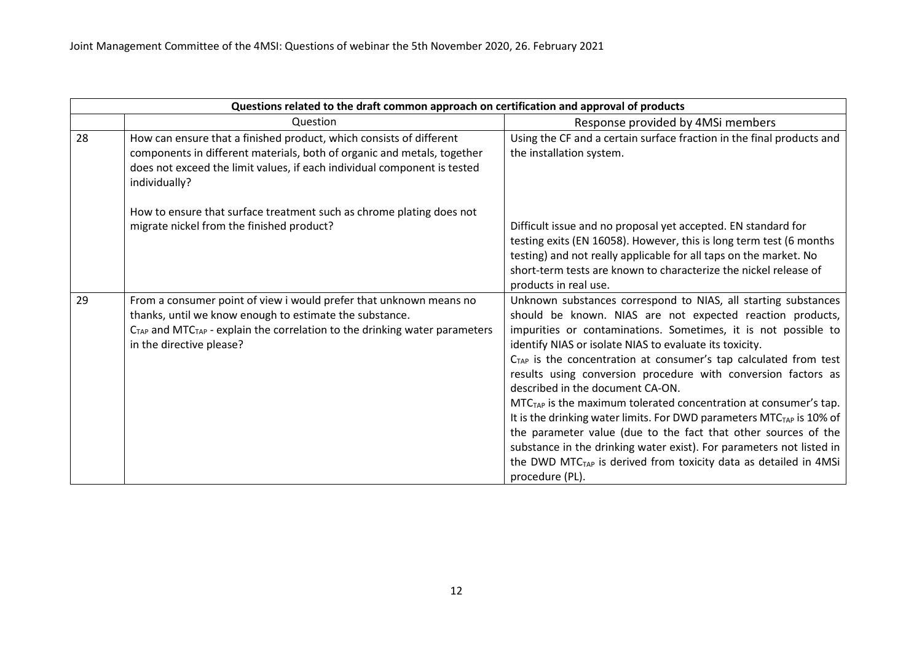|    | Questions related to the draft common approach on certification and approval of products                                                                                                                                                              |                                                                                                                                                                                                                                                                                                                                                                                                                                                                                                                                                                                                                                                                                                                                                                                                                                            |
|----|-------------------------------------------------------------------------------------------------------------------------------------------------------------------------------------------------------------------------------------------------------|--------------------------------------------------------------------------------------------------------------------------------------------------------------------------------------------------------------------------------------------------------------------------------------------------------------------------------------------------------------------------------------------------------------------------------------------------------------------------------------------------------------------------------------------------------------------------------------------------------------------------------------------------------------------------------------------------------------------------------------------------------------------------------------------------------------------------------------------|
|    | Question                                                                                                                                                                                                                                              | Response provided by 4MSi members                                                                                                                                                                                                                                                                                                                                                                                                                                                                                                                                                                                                                                                                                                                                                                                                          |
| 28 | How can ensure that a finished product, which consists of different<br>components in different materials, both of organic and metals, together<br>does not exceed the limit values, if each individual component is tested<br>individually?           | Using the CF and a certain surface fraction in the final products and<br>the installation system.                                                                                                                                                                                                                                                                                                                                                                                                                                                                                                                                                                                                                                                                                                                                          |
|    | How to ensure that surface treatment such as chrome plating does not<br>migrate nickel from the finished product?                                                                                                                                     | Difficult issue and no proposal yet accepted. EN standard for<br>testing exits (EN 16058). However, this is long term test (6 months<br>testing) and not really applicable for all taps on the market. No<br>short-term tests are known to characterize the nickel release of<br>products in real use.                                                                                                                                                                                                                                                                                                                                                                                                                                                                                                                                     |
| 29 | From a consumer point of view i would prefer that unknown means no<br>thanks, until we know enough to estimate the substance.<br>$CTAP$ and MTC <sub>TAP</sub> - explain the correlation to the drinking water parameters<br>in the directive please? | Unknown substances correspond to NIAS, all starting substances<br>should be known. NIAS are not expected reaction products,<br>impurities or contaminations. Sometimes, it is not possible to<br>identify NIAS or isolate NIAS to evaluate its toxicity.<br>$CTAP$ is the concentration at consumer's tap calculated from test<br>results using conversion procedure with conversion factors as<br>described in the document CA-ON.<br>$MTCTAP$ is the maximum tolerated concentration at consumer's tap.<br>It is the drinking water limits. For DWD parameters MTC <sub>TAP</sub> is 10% of<br>the parameter value (due to the fact that other sources of the<br>substance in the drinking water exist). For parameters not listed in<br>the DWD MTC <sub>TAP</sub> is derived from toxicity data as detailed in 4MSi<br>procedure (PL). |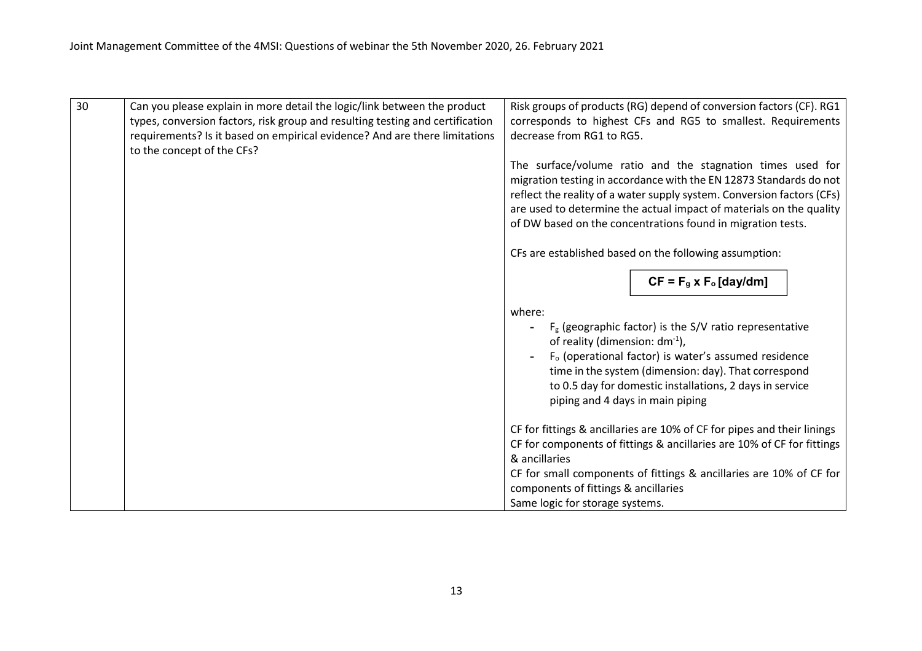| 30<br>Can you please explain in more detail the logic/link between the product<br>Risk groups of products (RG) depend of conversion factors (CF). RG1<br>corresponds to highest CFs and RG5 to smallest. Requirements<br>types, conversion factors, risk group and resulting testing and certification<br>requirements? Is it based on empirical evidence? And are there limitations<br>decrease from RG1 to RG5.<br>to the concept of the CFs?<br>The surface/volume ratio and the stagnation times used for<br>migration testing in accordance with the EN 12873 Standards do not<br>reflect the reality of a water supply system. Conversion factors (CFs)<br>are used to determine the actual impact of materials on the quality<br>of DW based on the concentrations found in migration tests.<br>CFs are established based on the following assumption: |  |
|---------------------------------------------------------------------------------------------------------------------------------------------------------------------------------------------------------------------------------------------------------------------------------------------------------------------------------------------------------------------------------------------------------------------------------------------------------------------------------------------------------------------------------------------------------------------------------------------------------------------------------------------------------------------------------------------------------------------------------------------------------------------------------------------------------------------------------------------------------------|--|
|                                                                                                                                                                                                                                                                                                                                                                                                                                                                                                                                                                                                                                                                                                                                                                                                                                                               |  |
|                                                                                                                                                                                                                                                                                                                                                                                                                                                                                                                                                                                                                                                                                                                                                                                                                                                               |  |
| $CF = Fg x Fo [day/dm]$                                                                                                                                                                                                                                                                                                                                                                                                                                                                                                                                                                                                                                                                                                                                                                                                                                       |  |
|                                                                                                                                                                                                                                                                                                                                                                                                                                                                                                                                                                                                                                                                                                                                                                                                                                                               |  |
| where:<br>$F_g$ (geographic factor) is the S/V ratio representative<br>of reality (dimension: dm <sup>-1</sup> ),<br>F <sub>o</sub> (operational factor) is water's assumed residence<br>time in the system (dimension: day). That correspond<br>to 0.5 day for domestic installations, 2 days in service<br>piping and 4 days in main piping                                                                                                                                                                                                                                                                                                                                                                                                                                                                                                                 |  |
| CF for fittings & ancillaries are 10% of CF for pipes and their linings<br>CF for components of fittings & ancillaries are 10% of CF for fittings<br>& ancillaries                                                                                                                                                                                                                                                                                                                                                                                                                                                                                                                                                                                                                                                                                            |  |
| CF for small components of fittings & ancillaries are 10% of CF for<br>components of fittings & ancillaries<br>Same logic for storage systems.                                                                                                                                                                                                                                                                                                                                                                                                                                                                                                                                                                                                                                                                                                                |  |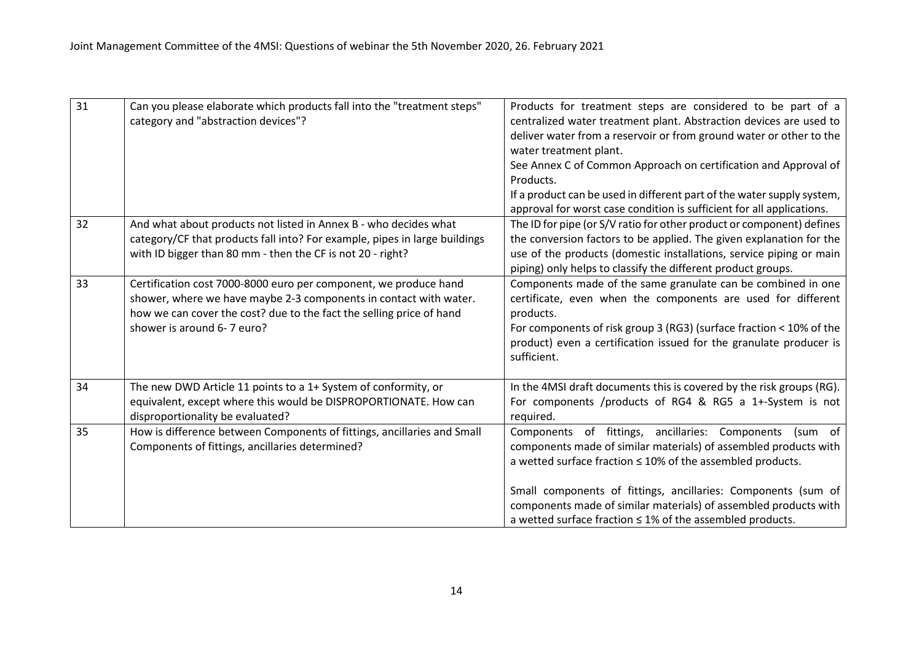| 31 | Can you please elaborate which products fall into the "treatment steps"<br>category and "abstraction devices"?                                                                                                                              | Products for treatment steps are considered to be part of a<br>centralized water treatment plant. Abstraction devices are used to<br>deliver water from a reservoir or from ground water or other to the<br>water treatment plant.<br>See Annex C of Common Approach on certification and Approval of<br>Products.<br>If a product can be used in different part of the water supply system,<br>approval for worst case condition is sufficient for all applications. |
|----|---------------------------------------------------------------------------------------------------------------------------------------------------------------------------------------------------------------------------------------------|-----------------------------------------------------------------------------------------------------------------------------------------------------------------------------------------------------------------------------------------------------------------------------------------------------------------------------------------------------------------------------------------------------------------------------------------------------------------------|
| 32 | And what about products not listed in Annex B - who decides what<br>category/CF that products fall into? For example, pipes in large buildings<br>with ID bigger than 80 mm - then the CF is not 20 - right?                                | The ID for pipe (or S/V ratio for other product or component) defines<br>the conversion factors to be applied. The given explanation for the<br>use of the products (domestic installations, service piping or main<br>piping) only helps to classify the different product groups.                                                                                                                                                                                   |
| 33 | Certification cost 7000-8000 euro per component, we produce hand<br>shower, where we have maybe 2-3 components in contact with water.<br>how we can cover the cost? due to the fact the selling price of hand<br>shower is around 6-7 euro? | Components made of the same granulate can be combined in one<br>certificate, even when the components are used for different<br>products.<br>For components of risk group 3 (RG3) (surface fraction < 10% of the<br>product) even a certification issued for the granulate producer is<br>sufficient.                                                                                                                                                                 |
| 34 | The new DWD Article 11 points to a 1+ System of conformity, or<br>equivalent, except where this would be DISPROPORTIONATE. How can<br>disproportionality be evaluated?                                                                      | In the 4MSI draft documents this is covered by the risk groups (RG).<br>For components /products of RG4 & RG5 a 1+-System is not<br>required.                                                                                                                                                                                                                                                                                                                         |
| 35 | How is difference between Components of fittings, ancillaries and Small<br>Components of fittings, ancillaries determined?                                                                                                                  | Components of fittings, ancillaries: Components<br>(sum of<br>components made of similar materials) of assembled products with<br>a wetted surface fraction $\leq 10\%$ of the assembled products.<br>Small components of fittings, ancillaries: Components (sum of<br>components made of similar materials) of assembled products with<br>a wetted surface fraction $\leq 1\%$ of the assembled products.                                                            |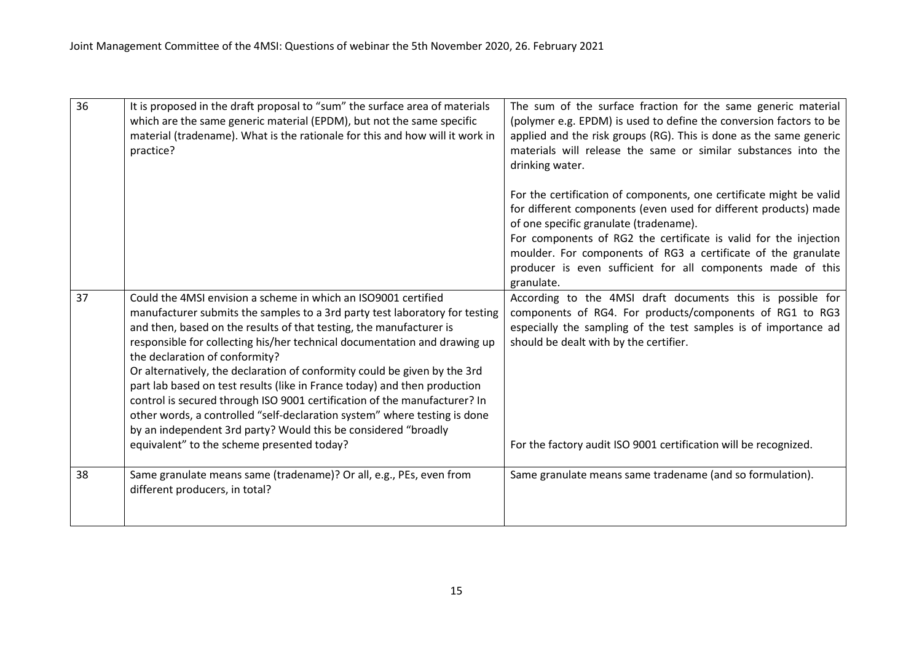| 36 | It is proposed in the draft proposal to "sum" the surface area of materials<br>which are the same generic material (EPDM), but not the same specific<br>material (tradename). What is the rationale for this and how will it work in<br>practice?                                                                                                                                                                                                                                                                                                                                                                                                                                                                                                                       | The sum of the surface fraction for the same generic material<br>(polymer e.g. EPDM) is used to define the conversion factors to be<br>applied and the risk groups (RG). This is done as the same generic<br>materials will release the same or similar substances into the<br>drinking water.                                                                                                      |
|----|-------------------------------------------------------------------------------------------------------------------------------------------------------------------------------------------------------------------------------------------------------------------------------------------------------------------------------------------------------------------------------------------------------------------------------------------------------------------------------------------------------------------------------------------------------------------------------------------------------------------------------------------------------------------------------------------------------------------------------------------------------------------------|-----------------------------------------------------------------------------------------------------------------------------------------------------------------------------------------------------------------------------------------------------------------------------------------------------------------------------------------------------------------------------------------------------|
|    |                                                                                                                                                                                                                                                                                                                                                                                                                                                                                                                                                                                                                                                                                                                                                                         | For the certification of components, one certificate might be valid<br>for different components (even used for different products) made<br>of one specific granulate (tradename).<br>For components of RG2 the certificate is valid for the injection<br>moulder. For components of RG3 a certificate of the granulate<br>producer is even sufficient for all components made of this<br>granulate. |
| 37 | Could the 4MSI envision a scheme in which an ISO9001 certified<br>manufacturer submits the samples to a 3rd party test laboratory for testing<br>and then, based on the results of that testing, the manufacturer is<br>responsible for collecting his/her technical documentation and drawing up<br>the declaration of conformity?<br>Or alternatively, the declaration of conformity could be given by the 3rd<br>part lab based on test results (like in France today) and then production<br>control is secured through ISO 9001 certification of the manufacturer? In<br>other words, a controlled "self-declaration system" where testing is done<br>by an independent 3rd party? Would this be considered "broadly<br>equivalent" to the scheme presented today? | According to the 4MSI draft documents this is possible for<br>components of RG4. For products/components of RG1 to RG3<br>especially the sampling of the test samples is of importance ad<br>should be dealt with by the certifier.<br>For the factory audit ISO 9001 certification will be recognized.                                                                                             |
|    |                                                                                                                                                                                                                                                                                                                                                                                                                                                                                                                                                                                                                                                                                                                                                                         |                                                                                                                                                                                                                                                                                                                                                                                                     |
| 38 | Same granulate means same (tradename)? Or all, e.g., PEs, even from<br>different producers, in total?                                                                                                                                                                                                                                                                                                                                                                                                                                                                                                                                                                                                                                                                   | Same granulate means same tradename (and so formulation).                                                                                                                                                                                                                                                                                                                                           |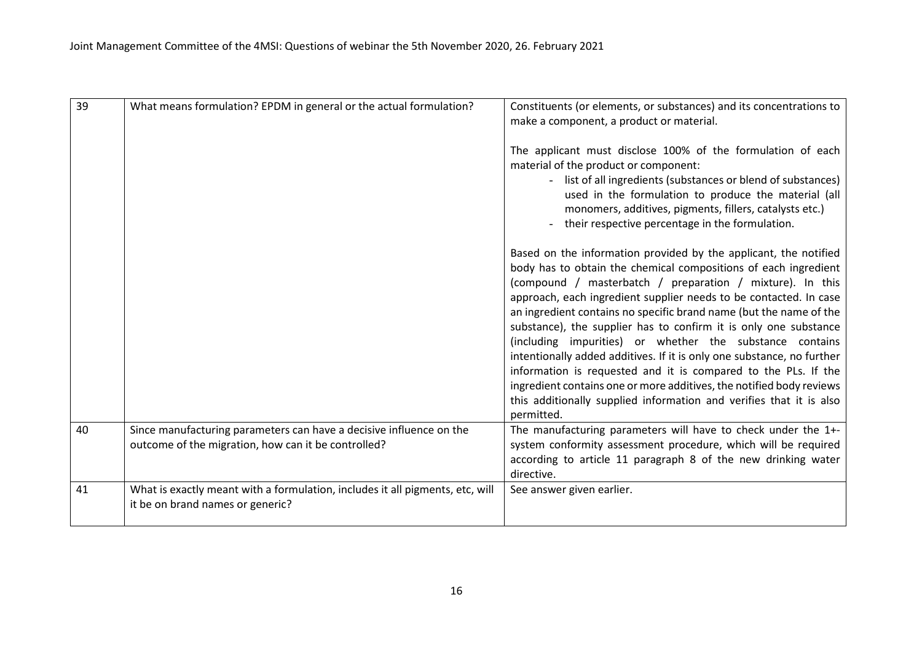| 39 | What means formulation? EPDM in general or the actual formulation?                                                         | Constituents (or elements, or substances) and its concentrations to<br>make a component, a product or material.                                                                                                                                                                                                                                                                                                                                                                                                                                                                                                                                                                                                                                                                      |
|----|----------------------------------------------------------------------------------------------------------------------------|--------------------------------------------------------------------------------------------------------------------------------------------------------------------------------------------------------------------------------------------------------------------------------------------------------------------------------------------------------------------------------------------------------------------------------------------------------------------------------------------------------------------------------------------------------------------------------------------------------------------------------------------------------------------------------------------------------------------------------------------------------------------------------------|
|    |                                                                                                                            | The applicant must disclose 100% of the formulation of each<br>material of the product or component:<br>- list of all ingredients (substances or blend of substances)<br>used in the formulation to produce the material (all<br>monomers, additives, pigments, fillers, catalysts etc.)<br>their respective percentage in the formulation.                                                                                                                                                                                                                                                                                                                                                                                                                                          |
|    |                                                                                                                            | Based on the information provided by the applicant, the notified<br>body has to obtain the chemical compositions of each ingredient<br>(compound / masterbatch / preparation / mixture). In this<br>approach, each ingredient supplier needs to be contacted. In case<br>an ingredient contains no specific brand name (but the name of the<br>substance), the supplier has to confirm it is only one substance<br>(including impurities) or whether the substance contains<br>intentionally added additives. If it is only one substance, no further<br>information is requested and it is compared to the PLs. If the<br>ingredient contains one or more additives, the notified body reviews<br>this additionally supplied information and verifies that it is also<br>permitted. |
| 40 | Since manufacturing parameters can have a decisive influence on the<br>outcome of the migration, how can it be controlled? | The manufacturing parameters will have to check under the 1+-<br>system conformity assessment procedure, which will be required<br>according to article 11 paragraph 8 of the new drinking water<br>directive.                                                                                                                                                                                                                                                                                                                                                                                                                                                                                                                                                                       |
| 41 | What is exactly meant with a formulation, includes it all pigments, etc, will<br>it be on brand names or generic?          | See answer given earlier.                                                                                                                                                                                                                                                                                                                                                                                                                                                                                                                                                                                                                                                                                                                                                            |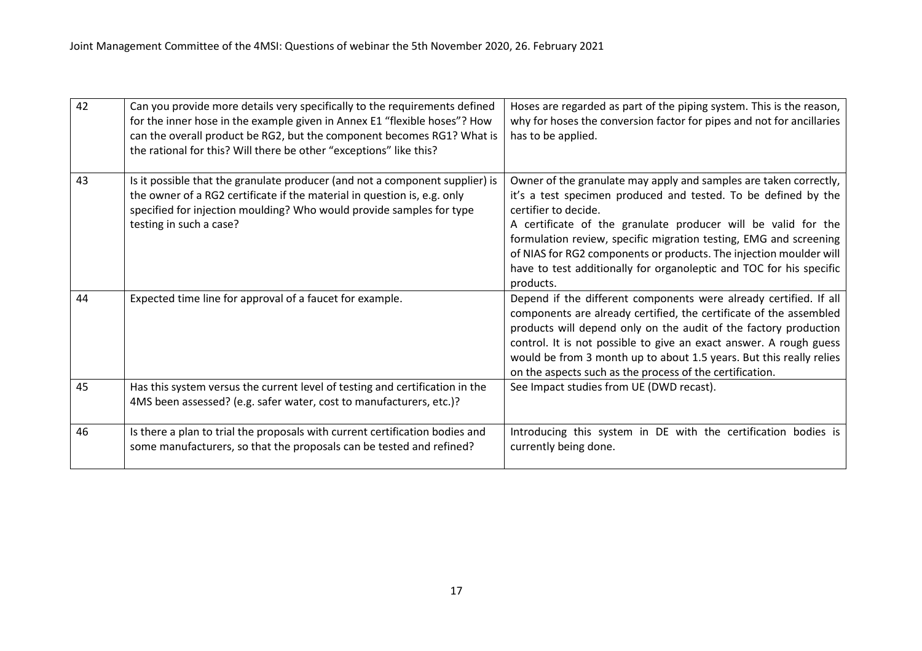| 42 | Can you provide more details very specifically to the requirements defined<br>for the inner hose in the example given in Annex E1 "flexible hoses"? How<br>can the overall product be RG2, but the component becomes RG1? What is<br>the rational for this? Will there be other "exceptions" like this? | Hoses are regarded as part of the piping system. This is the reason,<br>why for hoses the conversion factor for pipes and not for ancillaries<br>has to be applied.                                                                                                                                                                                                                                                                                         |
|----|---------------------------------------------------------------------------------------------------------------------------------------------------------------------------------------------------------------------------------------------------------------------------------------------------------|-------------------------------------------------------------------------------------------------------------------------------------------------------------------------------------------------------------------------------------------------------------------------------------------------------------------------------------------------------------------------------------------------------------------------------------------------------------|
| 43 | Is it possible that the granulate producer (and not a component supplier) is<br>the owner of a RG2 certificate if the material in question is, e.g. only<br>specified for injection moulding? Who would provide samples for type<br>testing in such a case?                                             | Owner of the granulate may apply and samples are taken correctly,<br>it's a test specimen produced and tested. To be defined by the<br>certifier to decide.<br>A certificate of the granulate producer will be valid for the<br>formulation review, specific migration testing, EMG and screening<br>of NIAS for RG2 components or products. The injection moulder will<br>have to test additionally for organoleptic and TOC for his specific<br>products. |
| 44 | Expected time line for approval of a faucet for example.                                                                                                                                                                                                                                                | Depend if the different components were already certified. If all<br>components are already certified, the certificate of the assembled<br>products will depend only on the audit of the factory production<br>control. It is not possible to give an exact answer. A rough guess<br>would be from 3 month up to about 1.5 years. But this really relies<br>on the aspects such as the process of the certification.                                        |
| 45 | Has this system versus the current level of testing and certification in the<br>4MS been assessed? (e.g. safer water, cost to manufacturers, etc.)?                                                                                                                                                     | See Impact studies from UE (DWD recast).                                                                                                                                                                                                                                                                                                                                                                                                                    |
| 46 | Is there a plan to trial the proposals with current certification bodies and<br>some manufacturers, so that the proposals can be tested and refined?                                                                                                                                                    | Introducing this system in DE with the certification bodies is<br>currently being done.                                                                                                                                                                                                                                                                                                                                                                     |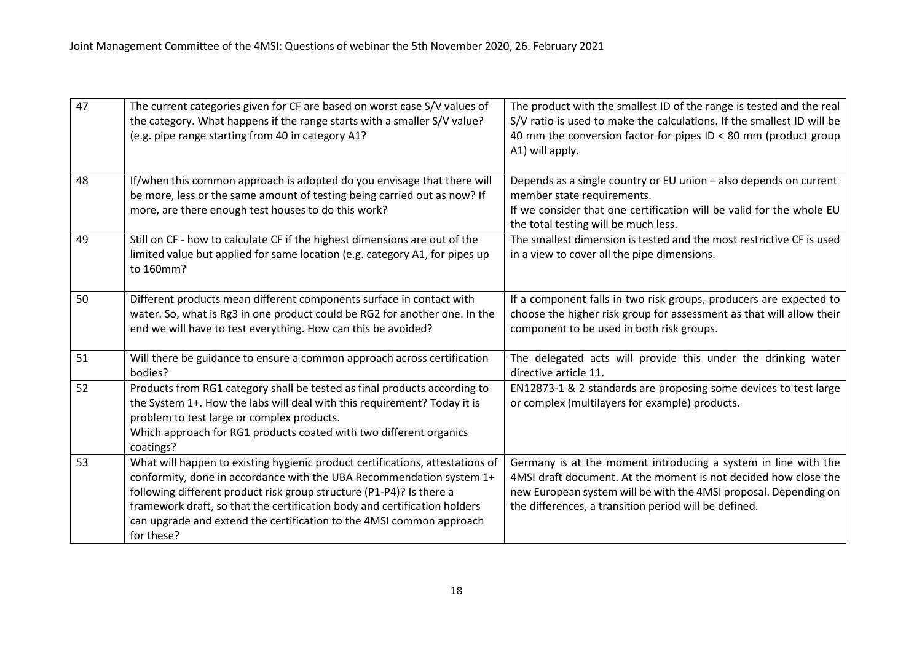| 47 | The current categories given for CF are based on worst case S/V values of<br>the category. What happens if the range starts with a smaller S/V value?<br>(e.g. pipe range starting from 40 in category A1?                                                                                                                                                                                       | The product with the smallest ID of the range is tested and the real<br>S/V ratio is used to make the calculations. If the smallest ID will be<br>40 mm the conversion factor for pipes ID < 80 mm (product group<br>A1) will apply.                           |
|----|--------------------------------------------------------------------------------------------------------------------------------------------------------------------------------------------------------------------------------------------------------------------------------------------------------------------------------------------------------------------------------------------------|----------------------------------------------------------------------------------------------------------------------------------------------------------------------------------------------------------------------------------------------------------------|
| 48 | If/when this common approach is adopted do you envisage that there will<br>be more, less or the same amount of testing being carried out as now? If<br>more, are there enough test houses to do this work?                                                                                                                                                                                       | Depends as a single country or EU union - also depends on current<br>member state requirements.<br>If we consider that one certification will be valid for the whole EU<br>the total testing will be much less.                                                |
| 49 | Still on CF - how to calculate CF if the highest dimensions are out of the<br>limited value but applied for same location (e.g. category A1, for pipes up<br>to 160mm?                                                                                                                                                                                                                           | The smallest dimension is tested and the most restrictive CF is used<br>in a view to cover all the pipe dimensions.                                                                                                                                            |
| 50 | Different products mean different components surface in contact with<br>water. So, what is Rg3 in one product could be RG2 for another one. In the<br>end we will have to test everything. How can this be avoided?                                                                                                                                                                              | If a component falls in two risk groups, producers are expected to<br>choose the higher risk group for assessment as that will allow their<br>component to be used in both risk groups.                                                                        |
| 51 | Will there be guidance to ensure a common approach across certification<br>bodies?                                                                                                                                                                                                                                                                                                               | The delegated acts will provide this under the drinking water<br>directive article 11.                                                                                                                                                                         |
| 52 | Products from RG1 category shall be tested as final products according to<br>the System 1+. How the labs will deal with this requirement? Today it is<br>problem to test large or complex products.<br>Which approach for RG1 products coated with two different organics<br>coatings?                                                                                                           | EN12873-1 & 2 standards are proposing some devices to test large<br>or complex (multilayers for example) products.                                                                                                                                             |
| 53 | What will happen to existing hygienic product certifications, attestations of<br>conformity, done in accordance with the UBA Recommendation system 1+<br>following different product risk group structure (P1-P4)? Is there a<br>framework draft, so that the certification body and certification holders<br>can upgrade and extend the certification to the 4MSI common approach<br>for these? | Germany is at the moment introducing a system in line with the<br>4MSI draft document. At the moment is not decided how close the<br>new European system will be with the 4MSI proposal. Depending on<br>the differences, a transition period will be defined. |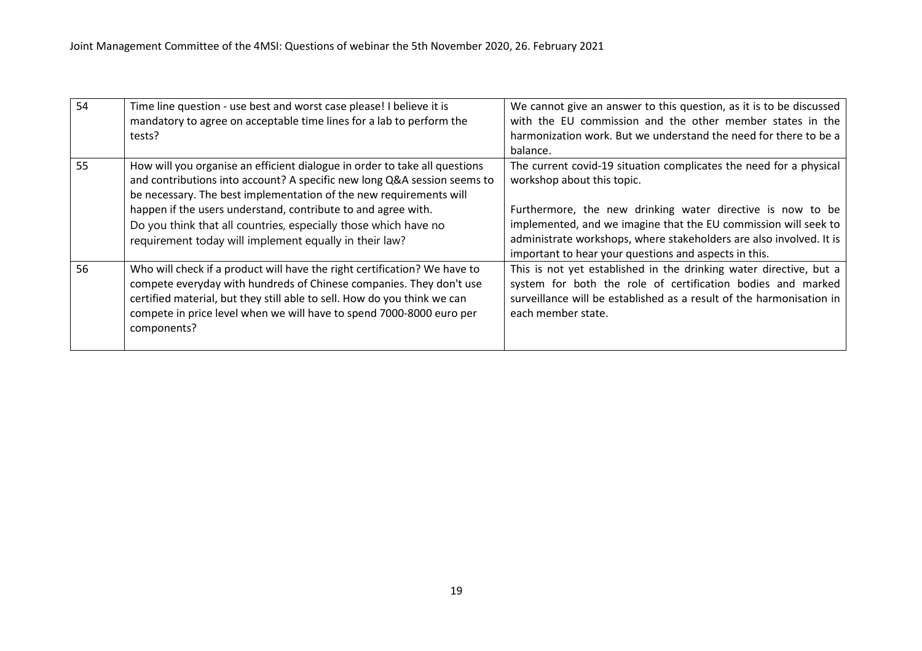| 54 | Time line question - use best and worst case please! I believe it is<br>mandatory to agree on acceptable time lines for a lab to perform the<br>tests?                                                                                                                                                              | We cannot give an answer to this question, as it is to be discussed<br>with the EU commission and the other member states in the<br>harmonization work. But we understand the need for there to be a<br>balance.                |
|----|---------------------------------------------------------------------------------------------------------------------------------------------------------------------------------------------------------------------------------------------------------------------------------------------------------------------|---------------------------------------------------------------------------------------------------------------------------------------------------------------------------------------------------------------------------------|
| 55 | How will you organise an efficient dialogue in order to take all questions<br>and contributions into account? A specific new long Q&A session seems to<br>be necessary. The best implementation of the new requirements will<br>happen if the users understand, contribute to and agree with.                       | The current covid-19 situation complicates the need for a physical<br>workshop about this topic.<br>Furthermore, the new drinking water directive is now to be                                                                  |
|    | Do you think that all countries, especially those which have no<br>requirement today will implement equally in their law?                                                                                                                                                                                           | implemented, and we imagine that the EU commission will seek to<br>administrate workshops, where stakeholders are also involved. It is<br>important to hear your questions and aspects in this.                                 |
| 56 | Who will check if a product will have the right certification? We have to<br>compete everyday with hundreds of Chinese companies. They don't use<br>certified material, but they still able to sell. How do you think we can<br>compete in price level when we will have to spend 7000-8000 euro per<br>components? | This is not yet established in the drinking water directive, but a<br>system for both the role of certification bodies and marked<br>surveillance will be established as a result of the harmonisation in<br>each member state. |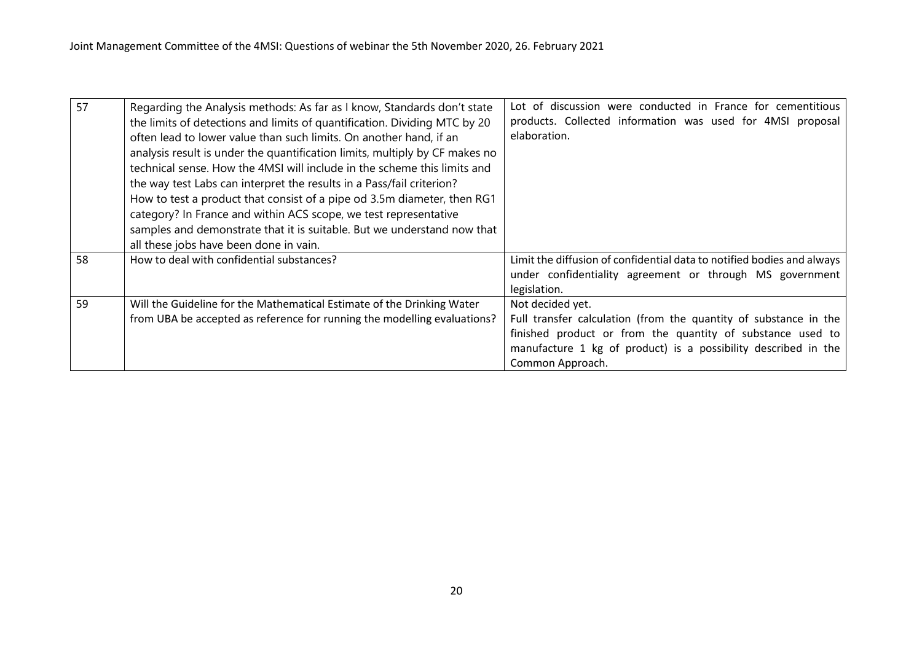| 57 | Regarding the Analysis methods: As far as I know, Standards don't state     | Lot of discussion were conducted in France for cementitious            |
|----|-----------------------------------------------------------------------------|------------------------------------------------------------------------|
|    | the limits of detections and limits of quantification. Dividing MTC by 20   | products. Collected information was used for 4MSI proposal             |
|    | often lead to lower value than such limits. On another hand, if an          | elaboration.                                                           |
|    | analysis result is under the quantification limits, multiply by CF makes no |                                                                        |
|    | technical sense. How the 4MSI will include in the scheme this limits and    |                                                                        |
|    | the way test Labs can interpret the results in a Pass/fail criterion?       |                                                                        |
|    | How to test a product that consist of a pipe od 3.5m diameter, then RG1     |                                                                        |
|    | category? In France and within ACS scope, we test representative            |                                                                        |
|    | samples and demonstrate that it is suitable. But we understand now that     |                                                                        |
|    | all these jobs have been done in vain.                                      |                                                                        |
| 58 | How to deal with confidential substances?                                   | Limit the diffusion of confidential data to notified bodies and always |
|    |                                                                             | under confidentiality agreement or through MS government               |
|    |                                                                             | legislation.                                                           |
| 59 | Will the Guideline for the Mathematical Estimate of the Drinking Water      | Not decided yet.                                                       |
|    | from UBA be accepted as reference for running the modelling evaluations?    | Full transfer calculation (from the quantity of substance in the       |
|    |                                                                             | finished product or from the quantity of substance used to             |
|    |                                                                             | manufacture 1 kg of product) is a possibility described in the         |
|    |                                                                             | Common Approach.                                                       |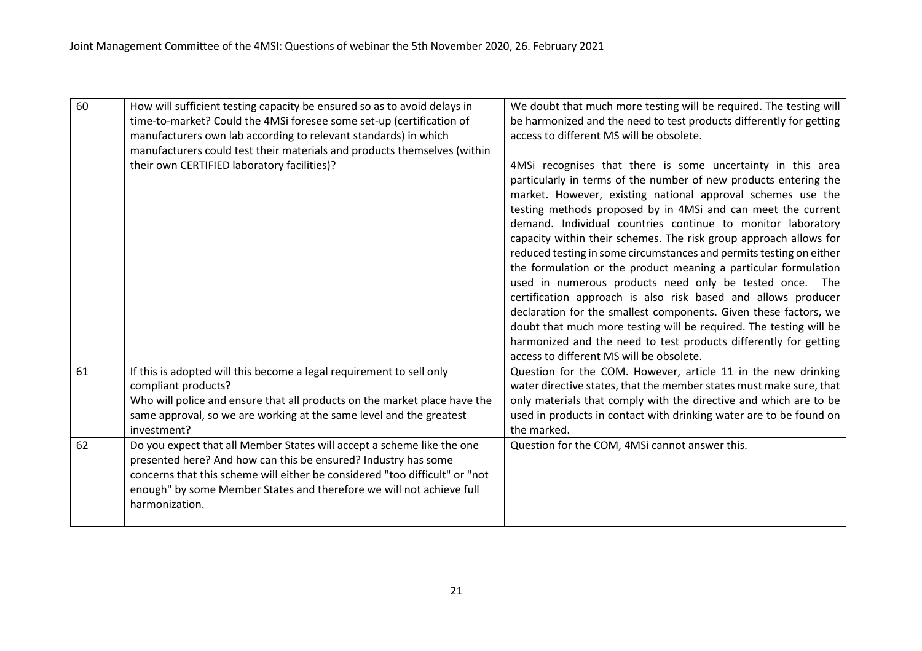| 60 | How will sufficient testing capacity be ensured so as to avoid delays in<br>time-to-market? Could the 4MSi foresee some set-up (certification of<br>manufacturers own lab according to relevant standards) in which                                                                                               | We doubt that much more testing will be required. The testing will<br>be harmonized and the need to test products differently for getting<br>access to different MS will be obsolete.                                                                                                                                                                                                                                                                                                                                                                                                                                                                                                                                                                                                                                                                                                                                              |
|----|-------------------------------------------------------------------------------------------------------------------------------------------------------------------------------------------------------------------------------------------------------------------------------------------------------------------|------------------------------------------------------------------------------------------------------------------------------------------------------------------------------------------------------------------------------------------------------------------------------------------------------------------------------------------------------------------------------------------------------------------------------------------------------------------------------------------------------------------------------------------------------------------------------------------------------------------------------------------------------------------------------------------------------------------------------------------------------------------------------------------------------------------------------------------------------------------------------------------------------------------------------------|
|    | manufacturers could test their materials and products themselves (within                                                                                                                                                                                                                                          |                                                                                                                                                                                                                                                                                                                                                                                                                                                                                                                                                                                                                                                                                                                                                                                                                                                                                                                                    |
|    | their own CERTIFIED laboratory facilities)?                                                                                                                                                                                                                                                                       | 4MSi recognises that there is some uncertainty in this area<br>particularly in terms of the number of new products entering the<br>market. However, existing national approval schemes use the<br>testing methods proposed by in 4MSi and can meet the current<br>demand. Individual countries continue to monitor laboratory<br>capacity within their schemes. The risk group approach allows for<br>reduced testing in some circumstances and permits testing on either<br>the formulation or the product meaning a particular formulation<br>used in numerous products need only be tested once. The<br>certification approach is also risk based and allows producer<br>declaration for the smallest components. Given these factors, we<br>doubt that much more testing will be required. The testing will be<br>harmonized and the need to test products differently for getting<br>access to different MS will be obsolete. |
| 61 | If this is adopted will this become a legal requirement to sell only<br>compliant products?<br>Who will police and ensure that all products on the market place have the<br>same approval, so we are working at the same level and the greatest<br>investment?                                                    | Question for the COM. However, article 11 in the new drinking<br>water directive states, that the member states must make sure, that<br>only materials that comply with the directive and which are to be<br>used in products in contact with drinking water are to be found on<br>the marked.                                                                                                                                                                                                                                                                                                                                                                                                                                                                                                                                                                                                                                     |
| 62 | Do you expect that all Member States will accept a scheme like the one<br>presented here? And how can this be ensured? Industry has some<br>concerns that this scheme will either be considered "too difficult" or "not<br>enough" by some Member States and therefore we will not achieve full<br>harmonization. | Question for the COM, 4MSi cannot answer this.                                                                                                                                                                                                                                                                                                                                                                                                                                                                                                                                                                                                                                                                                                                                                                                                                                                                                     |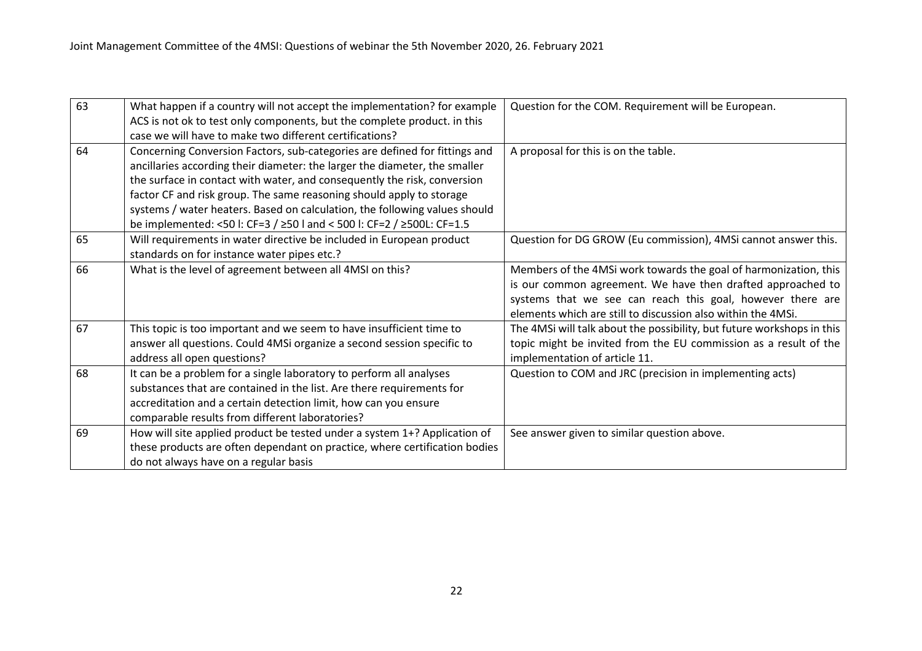| 63 | What happen if a country will not accept the implementation? for example   | Question for the COM. Requirement will be European.                    |
|----|----------------------------------------------------------------------------|------------------------------------------------------------------------|
|    | ACS is not ok to test only components, but the complete product. in this   |                                                                        |
|    | case we will have to make two different certifications?                    |                                                                        |
| 64 | Concerning Conversion Factors, sub-categories are defined for fittings and | A proposal for this is on the table.                                   |
|    | ancillaries according their diameter: the larger the diameter, the smaller |                                                                        |
|    | the surface in contact with water, and consequently the risk, conversion   |                                                                        |
|    | factor CF and risk group. The same reasoning should apply to storage       |                                                                        |
|    | systems / water heaters. Based on calculation, the following values should |                                                                        |
|    | be implemented: <50 l: CF=3 / ≥50 l and < 500 l: CF=2 / ≥500L: CF=1.5      |                                                                        |
| 65 | Will requirements in water directive be included in European product       | Question for DG GROW (Eu commission), 4MSi cannot answer this.         |
|    | standards on for instance water pipes etc.?                                |                                                                        |
| 66 | What is the level of agreement between all 4MSI on this?                   | Members of the 4MSi work towards the goal of harmonization, this       |
|    |                                                                            | is our common agreement. We have then drafted approached to            |
|    |                                                                            | systems that we see can reach this goal, however there are             |
|    |                                                                            | elements which are still to discussion also within the 4MSi.           |
| 67 | This topic is too important and we seem to have insufficient time to       | The 4MSi will talk about the possibility, but future workshops in this |
|    | answer all questions. Could 4MSi organize a second session specific to     | topic might be invited from the EU commission as a result of the       |
|    | address all open questions?                                                | implementation of article 11.                                          |
| 68 | It can be a problem for a single laboratory to perform all analyses        | Question to COM and JRC (precision in implementing acts)               |
|    | substances that are contained in the list. Are there requirements for      |                                                                        |
|    | accreditation and a certain detection limit, how can you ensure            |                                                                        |
|    | comparable results from different laboratories?                            |                                                                        |
| 69 | How will site applied product be tested under a system 1+? Application of  | See answer given to similar question above.                            |
|    | these products are often dependant on practice, where certification bodies |                                                                        |
|    | do not always have on a regular basis                                      |                                                                        |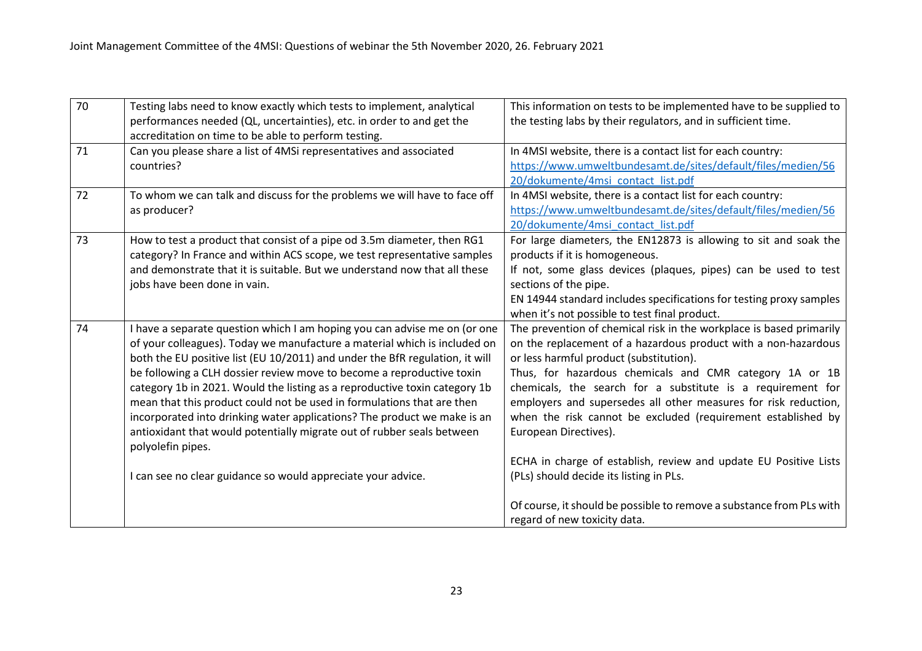| 70 | Testing labs need to know exactly which tests to implement, analytical       | This information on tests to be implemented have to be supplied to   |
|----|------------------------------------------------------------------------------|----------------------------------------------------------------------|
|    | performances needed (QL, uncertainties), etc. in order to and get the        | the testing labs by their regulators, and in sufficient time.        |
|    | accreditation on time to be able to perform testing.                         |                                                                      |
| 71 | Can you please share a list of 4MSi representatives and associated           | In 4MSI website, there is a contact list for each country:           |
|    | countries?                                                                   | https://www.umweltbundesamt.de/sites/default/files/medien/56         |
|    |                                                                              | 20/dokumente/4msi contact list.pdf                                   |
| 72 | To whom we can talk and discuss for the problems we will have to face off    | In 4MSI website, there is a contact list for each country:           |
|    | as producer?                                                                 | https://www.umweltbundesamt.de/sites/default/files/medien/56         |
|    |                                                                              | 20/dokumente/4msi contact list.pdf                                   |
| 73 | How to test a product that consist of a pipe od 3.5m diameter, then RG1      | For large diameters, the EN12873 is allowing to sit and soak the     |
|    | category? In France and within ACS scope, we test representative samples     | products if it is homogeneous.                                       |
|    | and demonstrate that it is suitable. But we understand now that all these    | If not, some glass devices (plaques, pipes) can be used to test      |
|    | jobs have been done in vain.                                                 | sections of the pipe.                                                |
|    |                                                                              | EN 14944 standard includes specifications for testing proxy samples  |
|    |                                                                              | when it's not possible to test final product.                        |
| 74 | I have a separate question which I am hoping you can advise me on (or one    | The prevention of chemical risk in the workplace is based primarily  |
|    | of your colleagues). Today we manufacture a material which is included on    | on the replacement of a hazardous product with a non-hazardous       |
|    | both the EU positive list (EU 10/2011) and under the BfR regulation, it will | or less harmful product (substitution).                              |
|    | be following a CLH dossier review move to become a reproductive toxin        | Thus, for hazardous chemicals and CMR category 1A or 1B              |
|    | category 1b in 2021. Would the listing as a reproductive toxin category 1b   | chemicals, the search for a substitute is a requirement for          |
|    | mean that this product could not be used in formulations that are then       | employers and supersedes all other measures for risk reduction,      |
|    | incorporated into drinking water applications? The product we make is an     | when the risk cannot be excluded (requirement established by         |
|    | antioxidant that would potentially migrate out of rubber seals between       | European Directives).                                                |
|    | polyolefin pipes.                                                            |                                                                      |
|    |                                                                              | ECHA in charge of establish, review and update EU Positive Lists     |
|    | I can see no clear guidance so would appreciate your advice.                 | (PLs) should decide its listing in PLs.                              |
|    |                                                                              |                                                                      |
|    |                                                                              | Of course, it should be possible to remove a substance from PLs with |
|    |                                                                              | regard of new toxicity data.                                         |